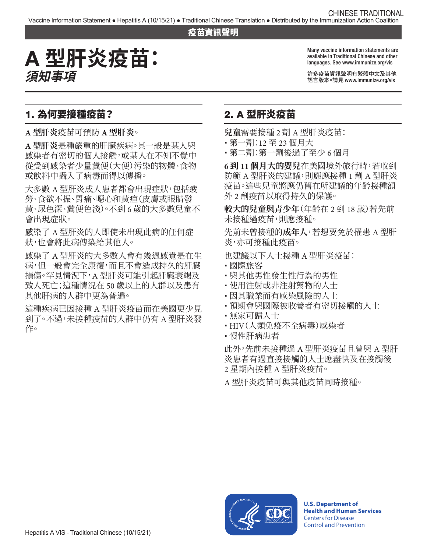#### 疫苗資訊聲明

# A **型肝炎疫苗: 須知事項**

Many vaccine information statements are available in Traditional Chinese and other languages. See [www.immunize.org/vis](http://www.immunize.org/vis)

許多疫苗資訊聲明有繁體中文及其他 語言版本。請見 [www.immunize.org/vis](http://www.immunize.org/vis) 

## 1. 為何要接種疫苗?

**A 型肝炎**疫苗可預防 **A 型肝炎**。

**A 型肝炎**是種嚴重的肝臟疾病。其一般是某人與 感染者有密切的個人接觸,或某人在不知不覺中 從受到感染者少量糞便(大便)污染的物體、食物 或飲料中攝入了病毒而得以傳播。

大多數 A 型肝炎成人患者都會出現症狀,包括疲 勞、食欲不振、胃痛、噁心和黃疸(皮膚或眼睛發 黃、尿色深、糞便色淺)。不到 6 歲的大多數兒童不 會出現症狀。

感染了 A 型肝炎的人即使未出現此病的任何症 狀,也會將此病傳染給其他人。

感染了 A 型肝炎的大多數人會有幾週感覺是在生 病,但一般會完全康復,而且不會造成持久的肝臟 損傷。罕見情況下,A 型肝炎可能引起肝臟衰竭及 致人死亡;這種情況在 50 歲以上的人群以及患有 其他肝病的人群中更為普遍。

這種疾病已因接種 A 型肝炎疫苗而在美國更少見 到了。不過,未接種疫苗的人群中仍有 A 型肝炎發 作。

# 2. A 型肝炎疫苗

**兒童**需要接種 2 劑 A 型肝炎疫苗:

- � 第一劑:12 至 23 個月大
- � 第二劑:第一劑後過了至少 6 個月

**6 到 11 個月大的嬰兒**在美國境外旅行時,若收到 防範 A 型肝炎的建議,則應應接種 1 劑 A 型肝炎 疫苗。這些兒童將應仍舊在所建議的年齡接種額 外 2 劑疫苗以取得持久的保護。

**較大的兒童與青少年**(年齡在 2 到 18 歲)若先前 未接種過疫苗,則應接種。

先前未曾接種的**成年人**,若想要免於罹患 A 型肝 炎,亦可接種此疫苗。

也建議以下人士接種 A 型肝炎疫苗:

- � 國際旅客
- 與其他男性發生性行為的男性
- 使用注射或非注射藥物的人士
- 因其職業而有感染風險的人士
- 預期會與國際被收養者有密切接觸的人士
- 無家可歸人士
- � HIV(人類免疫不全病毒)感染者
- 慢性肝病患者

此外,先前未接種過 A 型肝炎疫苗且曾與 A 型肝 炎患者有過直接接觸的人士應盡快及在接觸後 2 星期內接種 A 型肝炎疫苗。

A 型肝炎疫苗可與其他疫苗同時接種。



**U.S. Department of Health and Human Services**  Centers for Disease Control and Prevention